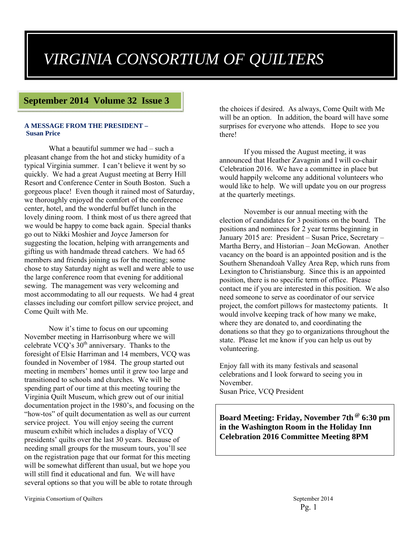## *VIRGINIA CONSORTIUM OF QUILTERS*

### **September 2014 Volume 32 Issue 3**

#### **A MESSAGE FROM THE PRESIDENT – Susan Price**

What a beautiful summer we had – such a pleasant change from the hot and sticky humidity of a typical Virginia summer. I can't believe it went by so quickly. We had a great August meeting at Berry Hill Resort and Conference Center in South Boston. Such a gorgeous place! Even though it rained most of Saturday, we thoroughly enjoyed the comfort of the conference center, hotel, and the wonderful buffet lunch in the lovely dining room. I think most of us there agreed that we would be happy to come back again. Special thanks go out to Nikki Moshier and Joyce Jamerson for suggesting the location, helping with arrangements and gifting us with handmade thread catchers. We had 65 members and friends joining us for the meeting; some chose to stay Saturday night as well and were able to use the large conference room that evening for additional sewing. The management was very welcoming and most accommodating to all our requests. We had 4 great classes including our comfort pillow service project, and Come Quilt with Me.

Now it's time to focus on our upcoming November meeting in Harrisonburg where we will celebrate VCQ's  $30<sup>th</sup>$  anniversary. Thanks to the foresight of Elsie Harriman and 14 members, VCQ was founded in November of 1984. The group started out meeting in members' homes until it grew too large and transitioned to schools and churches. We will be spending part of our time at this meeting touring the Virginia Quilt Museum, which grew out of our initial documentation project in the 1980's, and focusing on the "how-tos" of quilt documentation as well as our current service project. You will enjoy seeing the current museum exhibit which includes a display of VCQ presidents' quilts over the last 30 years. Because of needing small groups for the museum tours, you'll see on the registration page that our format for this meeting will be somewhat different than usual, but we hope you will still find it educational and fun. We will have several options so that you will be able to rotate through

the choices if desired. As always, Come Quilt with Me will be an option. In addition, the board will have some surprises for everyone who attends. Hope to see you there!

If you missed the August meeting, it was announced that Heather Zavagnin and I will co-chair Celebration 2016. We have a committee in place but would happily welcome any additional volunteers who would like to help. We will update you on our progress at the quarterly meetings.

November is our annual meeting with the election of candidates for 3 positions on the board. The positions and nominees for 2 year terms beginning in January 2015 are: President – Susan Price, Secretary – Martha Berry, and Historian – Joan McGowan. Another vacancy on the board is an appointed position and is the Southern Shenandoah Valley Area Rep, which runs from Lexington to Christiansburg. Since this is an appointed position, there is no specific term of office. Please contact me if you are interested in this position. We also need someone to serve as coordinator of our service project, the comfort pillows for mastectomy patients. It would involve keeping track of how many we make, where they are donated to, and coordinating the donations so that they go to organizations throughout the state. Please let me know if you can help us out by volunteering.

Enjoy fall with its many festivals and seasonal celebrations and I look forward to seeing you in November. Susan Price, VCQ President

**Board Meeting: Friday, November 7th @ 6:30 pm in the Washington Room in the Holiday Inn Celebration 2016 Committee Meeting 8PM**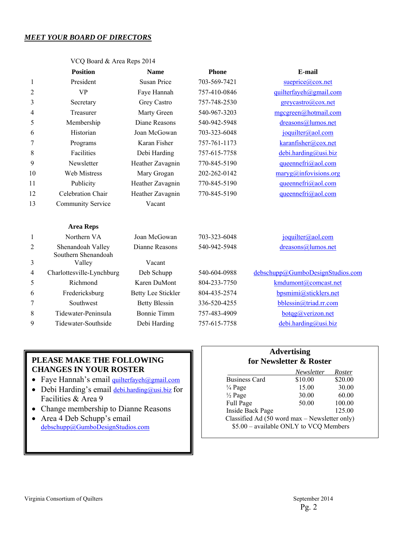### *MEET YOUR BOARD OF DIRECTORS*

VCQ Board & Area Reps 2014

|                | <b>Position</b>                          | <b>Name</b>               | <b>Phone</b> | E-mail                                  |
|----------------|------------------------------------------|---------------------------|--------------|-----------------------------------------|
| 1              | President                                | <b>Susan Price</b>        | 703-569-7421 | sueprice@cox.net                        |
| $\overline{2}$ | <b>VP</b>                                | Faye Hannah               | 757-410-0846 | quilterfayeh@gmail.com                  |
| 3              | Secretary                                | Grey Castro               | 757-748-2530 | greycastro@cox.net                      |
| 4              | Treasurer                                | Marty Green               | 540-967-3203 | mgcgreen@hotmail.com                    |
| 5              | Membership                               | Diane Reasons             | 540-942-5948 | dreasons@lumos.net                      |
| 6              | Historian                                | Joan McGowan              | 703-323-6048 | joquilter@aol.com                       |
| 7              | Programs                                 | Karan Fisher              | 757-761-1173 | karanfisher@cox.net                     |
| 8              | Facilities                               | Debi Harding              | 757-615-7758 | debi.harding@usi.biz                    |
| 9              | Newsletter                               | Heather Zavagnin          | 770-845-5190 | queennefri@aol.com                      |
| 10             | <b>Web Mistress</b>                      | Mary Grogan               | 202-262-0142 | $\frac{\text{manyg}(a)$ infovisions.org |
| 11             | Publicity                                | Heather Zavagnin          | 770-845-5190 | queennefri@aol.com                      |
| 12             | <b>Celebration Chair</b>                 | Heather Zavagnin          | 770-845-5190 | queennefri@aol.com                      |
| 13             | Community Service                        | Vacant                    |              |                                         |
|                | <b>Area Reps</b>                         |                           |              |                                         |
| 1              | Northern VA                              | Joan McGowan              | 703-323-6048 | joquilter@aol.com                       |
| $\overline{2}$ | Shenandoah Valley<br>Southern Shenandoah | Dianne Reasons            | 540-942-5948 | dreasons@lumos.net                      |
| 3              | Valley                                   | Vacant                    |              |                                         |
| $\overline{4}$ | Charlottesville-Lynchburg                | Deb Schupp                | 540-604-0988 | debschupp@GumboDesignStudios.com        |
| 5              | Richmond                                 | Karen DuMont              | 804-233-7750 | kmdumont@comcast.net                    |
| 6              | Fredericksburg                           | <b>Betty Lee Stickler</b> | 804-435-2574 | bpsmimi@sticklers.net                   |
| 7              | Southwest                                | <b>Betty Blessin</b>      | 336-520-4255 | bblessin@triad.rr.com                   |
| 8              | Tidewater-Peninsula                      | <b>Bonnie Timm</b>        | 757-483-4909 | bot qg@verizon.net                      |
| 9              | Tidewater-Southside                      | Debi Harding              | 757-615-7758 | debi.harding@usi.biz                    |
|                |                                          |                           |              |                                         |

### **CHANGES IN YOUR ROSTER**  • Faye Hannah's email quilterfayeh@gmail.com

**PLEASE MAKE THE FOLLOWING** 

- Debi Harding's email debi.harding@usi.biz for
- Facilities & Area 9
- Change membership to Dianne Reasons
- Area 4 Deb Schupp's email debschupp@GumboDesignStudios.com

### **Advertising for Newsletter & Roster**

|                                               | Newsletter | Roster  |  |
|-----------------------------------------------|------------|---------|--|
| <b>Business Card</b>                          | \$10.00    | \$20.00 |  |
| $\frac{1}{4}$ Page                            | 15.00      | 30.00   |  |
| $\frac{1}{2}$ Page                            | 30.00      | 60.00   |  |
| Full Page                                     | 50.00      | 100.00  |  |
| Inside Back Page                              |            | 125.00  |  |
| Classified Ad (50 word max - Newsletter only) |            |         |  |
| \$5.00 - available ONLY to VCQ Members        |            |         |  |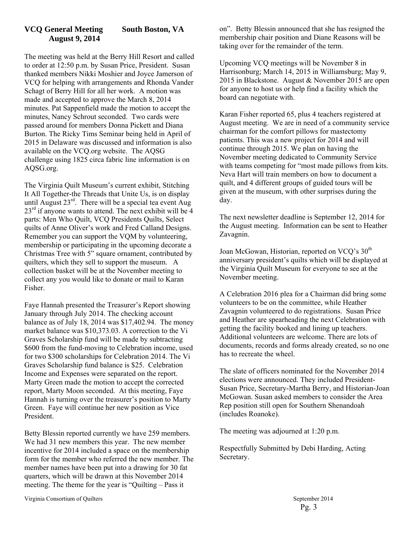### **VCQ General Meeting South Boston, VA August 9, 2014**

The meeting was held at the Berry Hill Resort and called to order at 12:50 p.m. by Susan Price, President. Susan thanked members Nikki Moshier and Joyce Jamerson of VCQ for helping with arrangements and Rhonda Vander Schagt of Berry Hill for all her work. A motion was made and accepted to approve the March 8, 2014 minutes. Pat Sappenfield made the motion to accept the minutes, Nancy Schrout seconded. Two cards were passed around for members Donna Pickett and Diana Burton. The Ricky Tims Seminar being held in April of 2015 in Delaware was discussed and information is also available on the VCQ.org website. The AQSG challenge using 1825 circa fabric line information is on AQSG.org.

The Virginia Quilt Museum's current exhibit, Stitching It All Together-the Threads that Unite Us, is on display until August  $23^{rd}$ . There will be a special tea event Aug  $23<sup>rd</sup>$  if anyone wants to attend. The next exhibit will be 4 parts: Men Who Quilt, VCQ Presidents Quilts, Select quilts of Anne Oliver's work and Fred Calland Designs. Remember you can support the VQM by volunteering, membership or participating in the upcoming decorate a Christmas Tree with 5" square ornament, contributed by quilters, which they sell to support the museum. A collection basket will be at the November meeting to collect any you would like to donate or mail to Karan Fisher.

Faye Hannah presented the Treasurer's Report showing January through July 2014. The checking account balance as of July 18, 2014 was \$17,402.94. The money market balance was \$10,373.03. A correction to the Vi Graves Scholarship fund will be made by subtracting \$600 from the fund-moving to Celebration income, used for two \$300 scholarships for Celebration 2014. The Vi Graves Scholarship fund balance is \$25. Celebration Income and Expenses were separated on the report. Marty Green made the motion to accept the corrected report, Marty Moon seconded. At this meeting, Faye Hannah is turning over the treasurer's position to Marty Green. Faye will continue her new position as Vice President.

Betty Blessin reported currently we have 259 members. We had 31 new members this year. The new member incentive for 2014 included a space on the membership form for the member who referred the new member. The member names have been put into a drawing for 30 fat quarters, which will be drawn at this November 2014 meeting. The theme for the year is "Quilting – Pass it

on". Betty Blessin announced that she has resigned the membership chair position and Diane Reasons will be taking over for the remainder of the term.

Upcoming VCQ meetings will be November 8 in Harrisonburg; March 14, 2015 in Williamsburg; May 9, 2015 in Blackstone. August & November 2015 are open for anyone to host us or help find a facility which the board can negotiate with.

Karan Fisher reported 65, plus 4 teachers registered at August meeting. We are in need of a community service chairman for the comfort pillows for mastectomy patients. This was a new project for 2014 and will continue through 2015. We plan on having the November meeting dedicated to Community Service with teams competing for "most made pillows from kits. Neva Hart will train members on how to document a quilt, and 4 different groups of guided tours will be given at the museum, with other surprises during the day.

The next newsletter deadline is September 12, 2014 for the August meeting. Information can be sent to Heather Zavagnin.

Joan McGowan, Historian, reported on VCQ's 30<sup>th</sup> anniversary president's quilts which will be displayed at the Virginia Quilt Museum for everyone to see at the November meeting.

A Celebration 2016 plea for a Chairman did bring some volunteers to be on the committee, while Heather Zavagnin volunteered to do registrations. Susan Price and Heather are spearheading the next Celebration with getting the facility booked and lining up teachers. Additional volunteers are welcome. There are lots of documents, records and forms already created, so no one has to recreate the wheel.

The slate of officers nominated for the November 2014 elections were announced. They included President-Susan Price, Secretary-Martha Berry, and Historian-Joan McGowan. Susan asked members to consider the Area Rep position still open for Southern Shenandoah (includes Roanoke).

The meeting was adjourned at 1:20 p.m.

Respectfully Submitted by Debi Harding, Acting Secretary.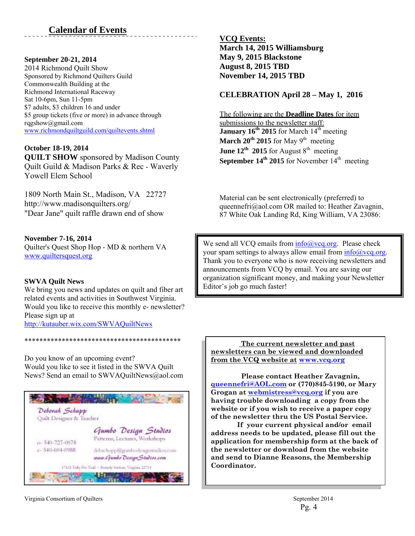### **September 20-21, 2014**

2014 Richmond Quilt Show Sponsored by Richmond Quilters Guild Commonwealth Building at the Richmond International Raceway Sat 10-6pm, Sun 11-5pm \$7 adults, \$3 children 16 and under \$5 group tickets (five or more) in advance through rqgshow@gmail.com www.richmondquiltguild.com/quiltevents.shtml

### **October 18-19, 2014**

**QUILT SHOW** sponsored by Madison County Quilt Guild & Madison Parks & Rec - Waverly Yowell Elem School

1809 North Main St., Madison, VA 22727 http://www.madisonquilters.org/ "Dear Jane" quilt raffle drawn end of show

**November 7-16, 2014**  Quilter's Quest Shop Hop - MD & northern VA www.quiltersquest.org

### **SWVA Quilt News**

We bring you news and updates on quilt and fiber art related events and activities in Southwest Virginia. Would you like to receive this monthly e- newsletter? Please sign up at http://kutauber.wix.com/SWVAQuiltNews

Do you know of an upcoming event? Would you like to see it listed in the SWVA Quilt News? Send an email to SWVAQuiltNews@aol.com

\*\*\*\*\*\*\*\*\*\*\*\*\*\*\*\*\*\*\*\*\*\*\*\*\*\*\*\*\*\*\*\*\*\*\*\*\*\*\*\*\*\*



**VCQ Events: March 14, 2015 Williamsburg May 9, 2015 Blackstone August 8, 2015 TBD November 14, 2015 TBD** 

### **CELEBRATION April 28 – May 1, 2016**

The following are the **Deadline Dates** for item submissions to the newsletter staff: January 16<sup>th</sup> 2015 for March 14<sup>th</sup> meeting **March 20<sup>th</sup> 2015** for May 9<sup>th</sup> meeting **June 12<sup>th</sup> 2015** for August  $8<sup>th</sup>$  meeting **September 14<sup>th</sup> 2015** for November  $14$ <sup>th</sup> meeting

Material can be sent electronically (preferred) to queennefri@aol.com OR mailed to: Heather Zavagnin, 87 White Oak Landing Rd, King William, VA 23086:

We send all VCQ emails from  $info(\hat{a})$  vcq.org. Please check your spam settings to always allow email from  $info@vcq.org$ . Thank you to everyone who is now receiving newsletters and announcements from VCQ by email. You are saving our organization significant money, and making your Newsletter Editor's job go much faster!

 **The current newsletter and past newsletters can be viewed and downloaded from the VCQ website at www.vcq.org**

 **Please contact Heather Zavagnin, queennefri@AOL.com or (770)845-5190, or Mary Grogan at webmistress@vcq.org if you are having trouble downloading a copy from the website or if you wish to receive a paper copy of the newsletter thru the US Postal Service.** 

 **If your current physical and/or email address needs to be updated, please fill out the application for membership form at the back of the newsletter or download from the website and send to Dianne Reasons, the Membership Coordinator.**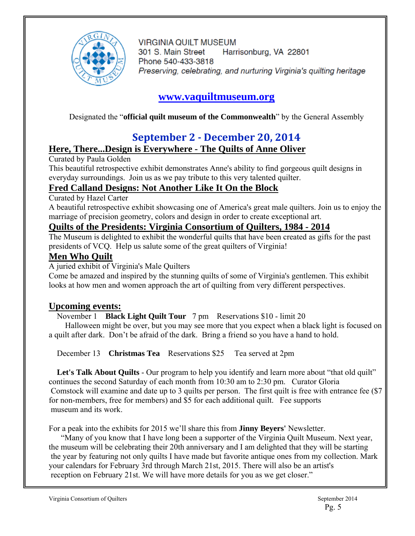

**VIRGINIA QUILT MUSEUM** 301 S. Main Street Harrisonburg, VA 22801 Phone 540-433-3818 Preserving, celebrating, and nurturing Virginia's quilting heritage

## **www.vaquiltmuseum.org**

Designated the "**official quilt museum of the Commonwealth**" by the General Assembly

## **September 2 ‐ December 20, 2014**

### **Here, There...Design is Everywhere - The Quilts of Anne Oliver**

Curated by Paula Golden

This beautiful retrospective exhibit demonstrates Anne's ability to find gorgeous quilt designs in everyday surroundings. Join us as we pay tribute to this very talented quilter.

## **Fred Calland Designs: Not Another Like It On the Block**

Curated by Hazel Carter

A beautiful retrospective exhibit showcasing one of America's great male quilters. Join us to enjoy the marriage of precision geometry, colors and design in order to create exceptional art.

### **Quilts of the Presidents: Virginia Consortium of Quilters, 1984 - 2014**

The Museum is delighted to exhibit the wonderful quilts that have been created as gifts for the past presidents of VCQ. Help us salute some of the great quilters of Virginia!

### **Men Who Quilt**

A juried exhibit of Virginia's Male Quilters

Come be amazed and inspired by the stunning quilts of some of Virginia's gentlemen. This exhibit looks at how men and women approach the art of quilting from very different perspectives.

### **Upcoming events:**

November 1 **Black Light Quilt Tour** 7 pm Reservations \$10 - limit 20

 Halloween might be over, but you may see more that you expect when a black light is focused on a quilt after dark. Don't be afraid of the dark. Bring a friend so you have a hand to hold.

December 13 **Christmas Tea** Reservations \$25 Tea served at 2pm

Let's Talk About Quilts - Our program to help you identify and learn more about "that old quilt" continues the second Saturday of each month from 10:30 am to 2:30 pm. Curator Gloria Comstock will examine and date up to 3 quilts per person. The first quilt is free with entrance fee (\$7 for non-members, free for members) and \$5 for each additional quilt. Fee supports museum and its work.

For a peak into the exhibits for 2015 we'll share this from **Jinny Beyers'** Newsletter.

 "Many of you know that I have long been a supporter of the Virginia Quilt Museum. Next year, the museum will be celebrating their 20th anniversary and I am delighted that they will be starting the year by featuring not only quilts I have made but favorite antique ones from my collection. Mark your calendars for February 3rd through March 21st, 2015. There will also be an artist's reception on February 21st. We will have more details for you as we get closer."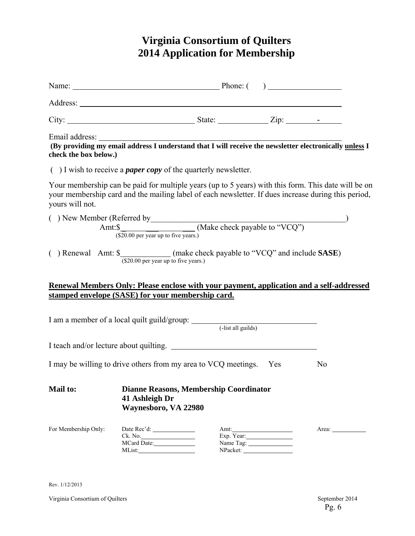## **Virginia Consortium of Quilters 2014 Application for Membership**

| Name: <u>Name:</u> Phone: ()                                                                                                         |                                        |                                               |                                     |                                                                                                                                                                                                            |
|--------------------------------------------------------------------------------------------------------------------------------------|----------------------------------------|-----------------------------------------------|-------------------------------------|------------------------------------------------------------------------------------------------------------------------------------------------------------------------------------------------------------|
|                                                                                                                                      |                                        |                                               |                                     |                                                                                                                                                                                                            |
| City: $\frac{1}{\sqrt{2}}$ State: $\frac{1}{\sqrt{2}}$ Zip: $\frac{1}{\sqrt{2}}$ Zip:                                                |                                        |                                               |                                     |                                                                                                                                                                                                            |
| check the box below.)                                                                                                                |                                        |                                               |                                     | Email address: The address of the set of the set of the set of the set of the set of the set of the providing my email address I understand that I will receive the newsletter electronically unless I     |
| $( )$ I wish to receive a <i>paper copy</i> of the quarterly newsletter.                                                             |                                        |                                               |                                     |                                                                                                                                                                                                            |
| yours will not.                                                                                                                      |                                        |                                               |                                     | Your membership can be paid for multiple years (up to 5 years) with this form. This date will be on<br>your membership card and the mailing label of each newsletter. If dues increase during this period, |
| () New Member (Referred by<br>Amt: $\frac{\text{M}}{\text{M}}$ (Make check payable to "VCQ")<br>(\$20.00 per year up to five years.) |                                        |                                               |                                     |                                                                                                                                                                                                            |
| () Renewal Amt: \$_____________(make check payable to "VCQ" and include SASE)                                                        | (\$20.00 per year up to five years.)   |                                               |                                     |                                                                                                                                                                                                            |
|                                                                                                                                      |                                        |                                               |                                     | Renewal Members Only: Please enclose with your payment, application and a self-addressed                                                                                                                   |
| stamped envelope (SASE) for your membership card.                                                                                    |                                        |                                               |                                     |                                                                                                                                                                                                            |
| I am a member of a local quilt guild/group: (-list all guilds)                                                                       |                                        |                                               |                                     |                                                                                                                                                                                                            |
| I teach and/or lecture about quilting.                                                                                               |                                        |                                               |                                     |                                                                                                                                                                                                            |
| I may be willing to drive others from my area to VCQ meetings. Yes                                                                   |                                        |                                               |                                     | N <sub>0</sub>                                                                                                                                                                                             |
| <b>Mail to:</b>                                                                                                                      | 41 Ashleigh Dr<br>Waynesboro, VA 22980 | <b>Dianne Reasons, Membership Coordinator</b> |                                     |                                                                                                                                                                                                            |
| For Membership Only:                                                                                                                 | Ck. No.<br>MCard Date:                 |                                               | Exp. Year:<br>Name Tag:<br>NPacket: | Area: 1988                                                                                                                                                                                                 |

Rev. 1/12/2013

Virginia Consortium of Quilters September 2014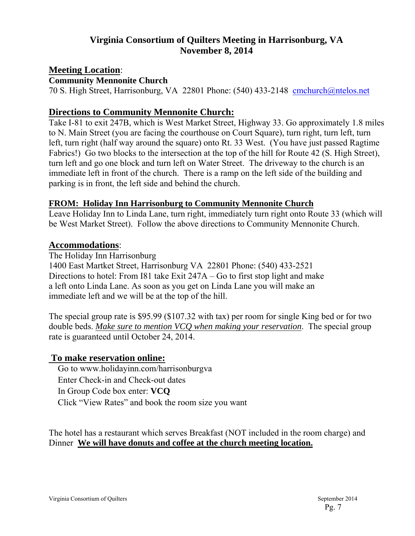### **Virginia Consortium of Quilters Meeting in Harrisonburg, VA November 8, 2014**

### **Meeting Location**:

**Community Mennonite Church** 

70 S. High Street, Harrisonburg, VA 22801 Phone: (540) 433-2148 cmchurch@ntelos.net

### **Directions to Community Mennonite Church:**

Take I-81 to exit 247B, which is West Market Street, Highway 33. Go approximately 1.8 miles to N. Main Street (you are facing the courthouse on Court Square), turn right, turn left, turn left, turn right (half way around the square) onto Rt. 33 West. (You have just passed Ragtime Fabrics!) Go two blocks to the intersection at the top of the hill for Route 42 (S. High Street), turn left and go one block and turn left on Water Street. The driveway to the church is an immediate left in front of the church. There is a ramp on the left side of the building and parking is in front, the left side and behind the church.

### **FROM: Holiday Inn Harrisonburg to Community Mennonite Church**

Leave Holiday Inn to Linda Lane, turn right, immediately turn right onto Route 33 (which will be West Market Street). Follow the above directions to Community Mennonite Church.

### **Accommodations**:

The Holiday Inn Harrisonburg

1400 East Martket Street, Harrisonburg VA 22801 Phone: (540) 433-2521 Directions to hotel: From I81 take Exit 247A – Go to first stop light and make a left onto Linda Lane. As soon as you get on Linda Lane you will make an immediate left and we will be at the top of the hill.

The special group rate is \$95.99 (\$107.32 with tax) per room for single King bed or for two double beds. *Make sure to mention VCQ when making your reservation*. The special group rate is guaranteed until October 24, 2014.

### **To make reservation online:**

 Go to www.holidayinn.com/harrisonburgva Enter Check-in and Check-out dates In Group Code box enter: **VCQ**  Click "View Rates" and book the room size you want

The hotel has a restaurant which serves Breakfast (NOT included in the room charge) and Dinner **We will have donuts and coffee at the church meeting location.**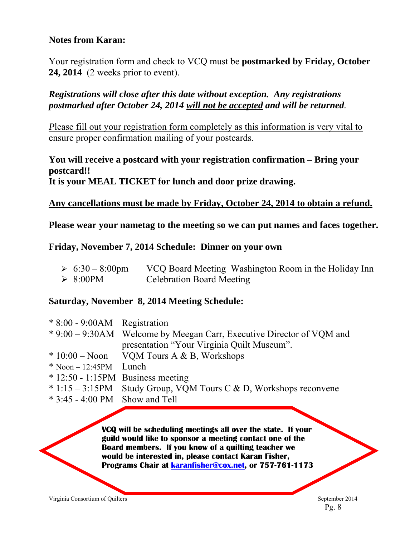### **Notes from Karan:**

Your registration form and check to VCQ must be **postmarked by Friday, October 24, 2014** (2 weeks prior to event).

### *Registrations will close after this date without exception. Any registrations postmarked after October 24, 2014 will not be accepted and will be returned.*

*P*lease fill out your registration form completely as this information is very vital to ensure proper confirmation mailing of your postcards.

### **You will receive a postcard with your registration confirmation – Bring your postcard!!**

**It is your MEAL TICKET for lunch and door prize drawing.** 

### **Any cancellations must be made by Friday, October 24, 2014 to obtain a refund.**

**Please wear your nametag to the meeting so we can put names and faces together.** 

### **Friday, November 7, 2014 Schedule: Dinner on your own**

| $\geq 6:30-8:00 \text{pm}$ | VCQ Board Meeting Washington Room in the Holiday Inn |
|----------------------------|------------------------------------------------------|
| $\triangleright$ 8:00PM    | <b>Celebration Board Meeting</b>                     |

### **Saturday, November 8, 2014 Meeting Schedule:**

| $*8:00 - 9:00AM$ Registration           |                                                                       |
|-----------------------------------------|-----------------------------------------------------------------------|
|                                         | * 9:00 – 9:30AM Welcome by Meegan Carr, Executive Director of VQM and |
|                                         | presentation "Your Virginia Quilt Museum".                            |
|                                         | $*10:00 - N$ oon VQM Tours A & B, Workshops                           |
| $*$ Noon – 12:45PM Lunch                |                                                                       |
|                                         | $* 12:50 - 1:15PM$ Business meeting                                   |
|                                         | $* 1:15 - 3:15 PM$ Study Group, VQM Tours C & D, Workshops reconvene  |
| $*3:45 - 4:00 \text{ PM}$ Show and Tell |                                                                       |

**VCQ will be scheduling meetings all over the state. If your guild would like to sponsor a meeting contact one of the Board members. If you know of a quilting teacher we would be interested in, please contact Karan Fisher, Programs Chair at karanfisher@cox.net, or 757-761-1173** 

Virginia Consortium of Quilters September 2014

Pg. 8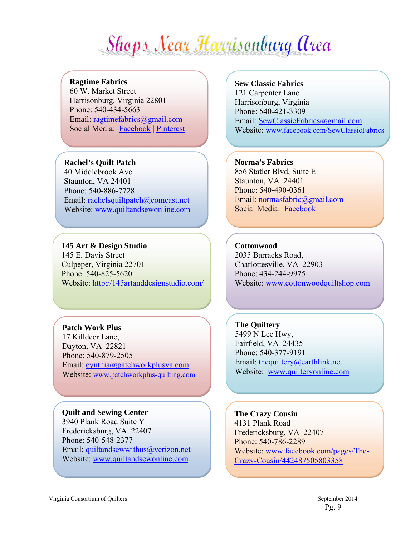# Shops Near Harrisonburg Area

### **Ragtime Fabrics**

60 W. Market Street Harrisonburg, Virginia 22801 Phone: 540-434-5663 Email: ragtimefabrics@gmail.com Social Media:Facebook | Pinterest

### **Rachel's Quilt Patch**

40 Middlebrook Ave Staunton, VA 24401 Phone: 540-886-7728 Email: rachelsquiltpatch@comcast.net Website: www.quiltandsewonline.com

### **145 Art & Design Studio**  145 E. Davis Street Culpeper, Virginia 22701 Phone: 540-825-5620 Website: http://145artanddesignstudio.com/

### **Patch Work Plus**

17 Killdeer Lane, Dayton, VA 22821 Phone: 540-879-2505 Email: cynthia@patchworkplusva.com Website: www.patchworkplus-quilting.com

### **Quilt and Sewing Center** 3940 Plank Road Suite Y

Fredericksburg, VA 22407 Phone: 540-548-2377 Email: quiltandsewwithus@verizon.net Website: www.quiltandsewonline.com

### **Sew Classic Fabrics** 121 Carpenter Lane Harrisonburg, Virginia

Phone: 540-421-3309 Email: SewClassicFabrics@gmail.com Website: www.facebook.com/SewClassicFabrics

### **Norma's Fabrics**

856 Statler Blvd, Suite E Staunton, VA 24401 Phone: 540-490-0361 Email: normasfabric@gmail.com Social Media: Facebook

### **Cottonwood**

2035 Barracks Road, Charlottesville, VA 22903 Phone: 434-244-9975 Website: www.cottonwoodquiltshop.com

**The Quiltery**  5499 N Lee Hwy, Fairfield, VA 24435 Phone: 540-377-9191 Email: thequiltery@earthlink.net Website: www.quilteryonline.com

**The Crazy Cousin**  4131 Plank Road Fredericksburg, VA 22407 Phone: 540-786-2289 Website: www.facebook.com/pages/The-Crazy-Cousin/442487505803358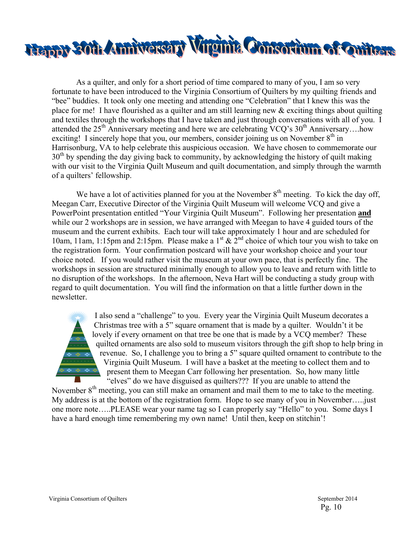

As a quilter, and only for a short period of time compared to many of you, I am so very fortunate to have been introduced to the Virginia Consortium of Quilters by my quilting friends and "bee" buddies. It took only one meeting and attending one "Celebration" that I knew this was the place for me! I have flourished as a quilter and am still learning new  $\&$  exciting things about quilting and textiles through the workshops that I have taken and just through conversations with all of you. I attended the  $25<sup>th</sup>$  Anniversary meeting and here we are celebrating VCQ's  $30<sup>th</sup>$  Anniversary….how exciting! I sincerely hope that you, our members, consider joining us on November  $8<sup>th</sup>$  in Harrisonburg, VA to help celebrate this auspicious occasion. We have chosen to commemorate our  $30<sup>th</sup>$  by spending the day giving back to community, by acknowledging the history of quilt making with our visit to the Virginia Quilt Museum and quilt documentation, and simply through the warmth of a quilters' fellowship.

We have a lot of activities planned for you at the November  $8<sup>th</sup>$  meeting. To kick the day off, Meegan Carr, Executive Director of the Virginia Quilt Museum will welcome VCQ and give a PowerPoint presentation entitled "Your Virginia Quilt Museum". Following her presentation **and** while our 2 workshops are in session, we have arranged with Meegan to have 4 guided tours of the museum and the current exhibits. Each tour will take approximately 1 hour and are scheduled for 10am, 11am, 1:15pm and 2:15pm. Please make a  $1^{st}$  &  $2^{nd}$  choice of which tour you wish to take on the registration form. Your confirmation postcard will have your workshop choice and your tour choice noted. If you would rather visit the museum at your own pace, that is perfectly fine. The workshops in session are structured minimally enough to allow you to leave and return with little to no disruption of the workshops. In the afternoon, Neva Hart will be conducting a study group with regard to quilt documentation. You will find the information on that a little further down in the newsletter.

> I also send a "challenge" to you. Every year the Virginia Quilt Museum decorates a Christmas tree with a 5" square ornament that is made by a quilter. Wouldn't it be lovely if every ornament on that tree be one that is made by a VCQ member? These quilted ornaments are also sold to museum visitors through the gift shop to help bring in revenue. So, I challenge you to bring a 5" square quilted ornament to contribute to the Virginia Quilt Museum. I will have a basket at the meeting to collect them and to present them to Meegan Carr following her presentation. So, how many little "elves" do we have disguised as quilters??? If you are unable to attend the

November 8<sup>th</sup> meeting, you can still make an ornament and mail them to me to take to the meeting. My address is at the bottom of the registration form. Hope to see many of you in November…..just one more note…..PLEASE wear your name tag so I can properly say "Hello" to you. Some days I have a hard enough time remembering my own name! Until then, keep on stitchin'!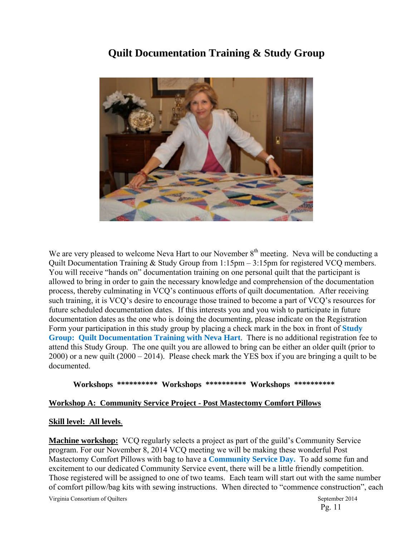## **Quilt Documentation Training & Study Group**



We are very pleased to welcome Neva Hart to our November  $8<sup>th</sup>$  meeting. Neva will be conducting a Quilt Documentation Training & Study Group from 1:15pm – 3:15pm for registered VCQ members. You will receive "hands on" documentation training on one personal quilt that the participant is allowed to bring in order to gain the necessary knowledge and comprehension of the documentation process, thereby culminating in VCQ's continuous efforts of quilt documentation. After receiving such training, it is VCQ's desire to encourage those trained to become a part of VCQ's resources for future scheduled documentation dates. If this interests you and you wish to participate in future documentation dates as the one who is doing the documenting, please indicate on the Registration Form your participation in this study group by placing a check mark in the box in front of **Study Group: Quilt Documentation Training with Neva Hart**. There is no additional registration fee to attend this Study Group. The one quilt you are allowed to bring can be either an older quilt (prior to 2000) or a new quilt (2000 – 2014). Please check mark the YES box if you are bringing a quilt to be documented.

### **Workshops \*\*\*\*\*\*\*\*\*\* Workshops \*\*\*\*\*\*\*\*\*\* Workshops \*\*\*\*\*\*\*\*\*\***

### **Workshop A: Community Service Project - Post Mastectomy Comfort Pillows**

### **Skill level: All levels**.

**Machine workshop:** VCQ regularly selects a project as part of the guild's Community Service program. For our November 8, 2014 VCQ meeting we will be making these wonderful Post Mastectomy Comfort Pillows with bag to have a **Community Service Day.** To add some fun and excitement to our dedicated Community Service event, there will be a little friendly competition. Those registered will be assigned to one of two teams. Each team will start out with the same number of comfort pillow/bag kits with sewing instructions. When directed to "commence construction", each

Virginia Consortium of Quilters  $\sim$  2014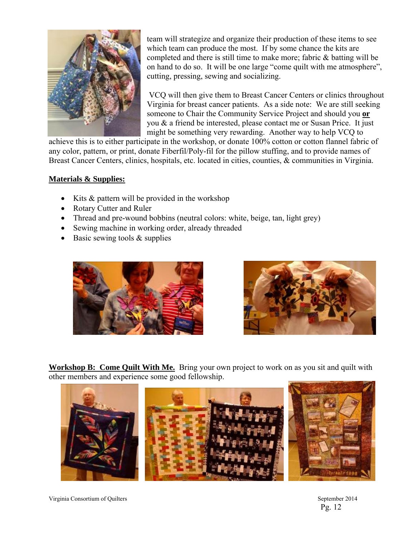

team will strategize and organize their production of these items to see which team can produce the most. If by some chance the kits are completed and there is still time to make more; fabric & batting will be on hand to do so. It will be one large "come quilt with me atmosphere", cutting, pressing, sewing and socializing.

 VCQ will then give them to Breast Cancer Centers or clinics throughout Virginia for breast cancer patients. As a side note: We are still seeking someone to Chair the Community Service Project and should you **or** you & a friend be interested, please contact me or Susan Price. It just might be something very rewarding. Another way to help VCQ to

achieve this is to either participate in the workshop, or donate 100% cotton or cotton flannel fabric of any color, pattern, or print, donate Fiberfil/Poly-fil for the pillow stuffing, and to provide names of Breast Cancer Centers, clinics, hospitals, etc. located in cities, counties, & communities in Virginia.

### **Materials & Supplies:**

- Kits  $&$  pattern will be provided in the workshop
- Rotary Cutter and Ruler
- Thread and pre-wound bobbins (neutral colors: white, beige, tan, light grey)
- Sewing machine in working order, already threaded
- $\bullet$  Basic sewing tools & supplies





**Workshop B: Come Quilt With Me.** Bring your own project to work on as you sit and quilt with other members and experience some good fellowship.



Virginia Consortium of Quilters September 2014

Pg. 12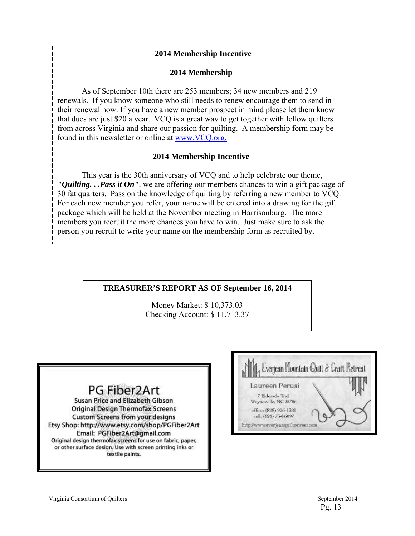### **2014 Membership Incentive**

### **2014 Membership**

As of September 10th there are 253 members; 34 new members and 219 renewals. If you know someone who still needs to renew encourage them to send in their renewal now. If you have a new member prospect in mind please let them know that dues are just \$20 a year. VCQ is a great way to get together with fellow quilters from across Virginia and share our passion for quilting. A membership form may be found in this newsletter or online at www.VCQ.org.

### **2014 Membership Incentive**

This year is the 30th anniversary of VCQ and to help celebrate our theme, *"Quilting. . .Pass it On",* we are offering our members chances to win a gift package of 30 fat quarters. Pass on the knowledge of quilting by referring a new member to VCQ. For each new member you refer, your name will be entered into a drawing for the gift package which will be held at the November meeting in Harrisonburg. The more members you recruit the more chances you have to win. Just make sure to ask the person you recruit to write your name on the membership form as recruited by.

### **TREASURER'S REPORT AS OF September 16, 2014**

Money Market: \$ 10,373.03 Checking Account: \$ 11,713.37

## PG Fiber2Art

Susan Price and Elizabeth Gibson **Original Design Thermofax Screens Custom Screens from your designs** Etsy Shop: http://www.etsy.com/shop/PGFiber2Art Email: PGFiber2Art@gmail.com Original design thermofax screens for use on fabric, paper, or other surface design. Use with screen printing inks or textile paints.

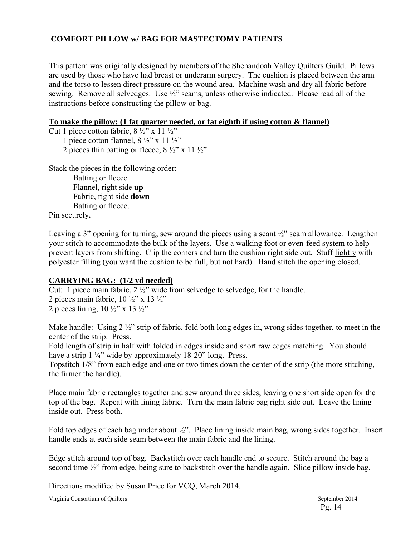### **COMFORT PILLOW w/ BAG FOR MASTECTOMY PATIENTS**

This pattern was originally designed by members of the Shenandoah Valley Quilters Guild. Pillows are used by those who have had breast or underarm surgery. The cushion is placed between the arm and the torso to lessen direct pressure on the wound area. Machine wash and dry all fabric before sewing. Remove all selvedges. Use ½" seams, unless otherwise indicated. Please read all of the instructions before constructing the pillow or bag.

### **To make the pillow: (1 fat quarter needed, or fat eighth if using cotton & flannel)**

Cut 1 piece cotton fabric,  $8\frac{1}{2}$ " x 11  $\frac{1}{2}$ "

1 piece cotton flannel,  $8\frac{1}{2}$ " x 11 $\frac{1}{2}$ "

2 pieces thin batting or fleece,  $8\frac{1}{2}$ " x 11 $\frac{1}{2}$ "

Stack the pieces in the following order:

Batting or fleece Flannel, right side **up**  Fabric, right side **down**  Batting or fleece.

Pin securely**.** 

Leaving a 3" opening for turning, sew around the pieces using a scant  $\frac{1}{2}$ " seam allowance. Lengthen your stitch to accommodate the bulk of the layers. Use a walking foot or even-feed system to help prevent layers from shifting. Clip the corners and turn the cushion right side out. Stuff lightly with polyester filling (you want the cushion to be full, but not hard). Hand stitch the opening closed.

### **CARRYING BAG: (1/2 yd needed)**

Cut: 1 piece main fabric, 2 ½" wide from selvedge to selvedge, for the handle.

2 pieces main fabric,  $10\frac{1}{2}$ " x  $13\frac{1}{2}$ " 2 pieces lining,  $10 \frac{1}{2}$ " x  $13 \frac{1}{2}$ "

Make handle: Using 2  $\frac{1}{2}$ " strip of fabric, fold both long edges in, wrong sides together, to meet in the center of the strip. Press.

Fold length of strip in half with folded in edges inside and short raw edges matching. You should have a strip  $1\frac{1}{4}$ " wide by approximately 18-20" long. Press.

Topstitch 1/8" from each edge and one or two times down the center of the strip (the more stitching, the firmer the handle).

Place main fabric rectangles together and sew around three sides, leaving one short side open for the top of the bag. Repeat with lining fabric. Turn the main fabric bag right side out. Leave the lining inside out. Press both.

Fold top edges of each bag under about ½". Place lining inside main bag, wrong sides together. Insert handle ends at each side seam between the main fabric and the lining.

Edge stitch around top of bag. Backstitch over each handle end to secure. Stitch around the bag a second time <sup>1/2</sup> from edge, being sure to backstitch over the handle again. Slide pillow inside bag.

Directions modified by Susan Price for VCQ, March 2014.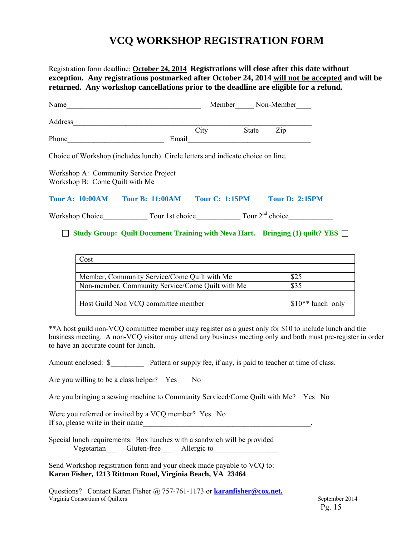## **VCQ WORKSHOP REGISTRATION FORM**

Registration form deadline: **October 24, 2014 Registrations will close after this date without exception. Any registrations postmarked after October 24, 2014 will not be accepted and will be returned. Any workshop cancellations prior to the deadline are eligible for a refund.**

| Name    |       | Member |              | Non-Member |
|---------|-------|--------|--------------|------------|
| Address |       |        |              |            |
|         | City  |        | <b>State</b> | Zip        |
| Phone   | Email |        |              |            |

Choice of Workshop (includes lunch). Circle letters and indicate choice on line.

Workshop A: Community Service Project Workshop B: Come Quilt with Me

### **Tour A: 10:00AM Tour B: 11:00AM Tour C: 1:15PM Tour D: 2:15PM**

Workshop Choice\_\_\_\_\_\_\_\_\_\_\_\_\_\_ Tour 1st choice\_\_\_\_\_\_\_\_\_\_\_\_\_\_\_ Tour 2<sup>nd</sup> choice\_\_\_\_\_\_\_\_\_\_\_\_\_\_\_

### **Study Group: Quilt Document Training with Neva Hart. Bringing (1) quilt? YES**

| Cost                                             |                    |
|--------------------------------------------------|--------------------|
|                                                  |                    |
| Member, Community Service/Come Quilt with Me     | \$25               |
| Non-member, Community Service/Come Quilt with Me | \$35               |
|                                                  |                    |
| Host Guild Non VCQ committee member              | $$10**$ lunch only |

\*\*A host guild non-VCQ committee member may register as a guest only for \$10 to include lunch and the business meeting. A non-VCQ visitor may attend any business meeting only and both must pre-register in order to have an accurate count for lunch.

Amount enclosed:  $\$$  Pattern or supply fee, if any, is paid to teacher at time of class.

Are you willing to be a class helper? Yes No

Are you bringing a sewing machine to Community Serviced/Come Quilt with Me? Yes No

Were you referred or invited by a VCQ member? Yes No If so, please write in their name

Special lunch requirements: Box lunches with a sandwich will be provided Vegetarian Gluten-free Allergic to

Send Workshop registration form and your check made payable to VCQ to: **Karan Fisher, 1213 Rittman Road, Virginia Beach, VA 23464** 

Virginia Consortium of Quilters September 2014 Questions? Contact Karan Fisher @ 757-761-1173 or **karanfisher@cox.net.**

Pg. 15